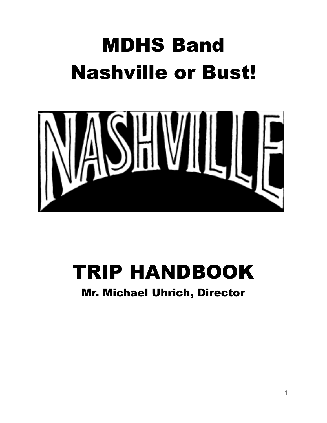# MDHS Band Nashville or Bust!



# TRIP HANDBOOK

### Mr. Michael Uhrich, Director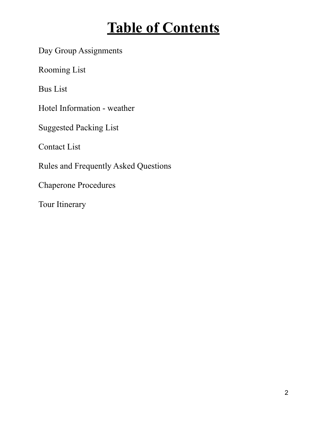## **Table of Contents**

Day Group Assignments

Rooming List

Bus List

Hotel Information - weather

Suggested Packing List

Contact List

Rules and Frequently Asked Questions

Chaperone Procedures

Tour Itinerary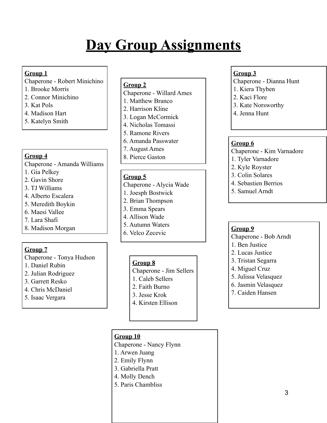# **Day Group Assignments**

### **Group 1**

- Chaperone Robert Minichino
- 1. Brooke Morris
- 2. Connor Minichino
- 3. Kat Pols
- 4. Madison Hart
- 5. Katelyn Smith

### **Group 4**

Chaperone - Amanda Williams

- 1. Gia Pelkey
- 2. Gavin Shore
- 3. TJ Williams
- 4. Alberto Escalera
- 5. Meredith Boykin
- 6. Maesi Vallee
- 7. Lara Shafi
- 8. Madison Morgan

### **Group 7**

Chaperone - Tonya Hudson

- 1. Daniel Rubin
- 2. Julian Rodriguez
- 3. Garrett Resko
- 4. Chris McDaniel
- 5. Isaac Vergara

### **Group 2**

- Chaperone Willard Ames
- 1. Matthew Branco
- 2. Harrison Kline
- 3. Logan McCormick
- 4. Nicholas Tomassi
- 5. Ramone Rivers
- 6. Amanda Passwater
- 7. August Ames
- 8. Pierce Gaston

### **Group 5**

- Chaperone Alycia Wade
- 1. Joesph Bostwick
- 2. Brian Thompson
- 3. Emma Spears
- 4. Allison Wade
- 5. Autumn Waters
- 6. Velco Zecevic

### **Group 8**

- Chaperone Jim Sellers
- 1. Caleb Sellers
- 2. Faith Burno
- 3. Jesse Krok
- 4. Kirsten Ellison

### **Group 10**

Chaperone - Nancy Flynn

- 1. Arwen Juang
- 2. Emily Flynn
- 3. Gabriella Pratt
- 4. Molly Dench
- 5. Paris Chambliss

### **Group 3**

- Chaperone Dianna Hunt
- 1. Kiera Thyben
- 2. Kaci Flore
- 3. Kate Norsworthy
- 4. Jenna Hunt

### **Group 6**

Chaperone - Kim Varnadore

- 1. Tyler Varnadore
- 2. Kyle Royster
- 3. Colin Solares
- 4. Sebastien Berrios
- 5. Samuel Arndt

### **Group 9**

Chaperone - Bob Arndt

- 1. Ben Justice
- 2. Lucas Justice
- 3. Tristan Segarra
- 4. Miguel Cruz
- 5. Julissa Velasquez
- 6. Jasmin Velasquez
- 7. Caiden Hansen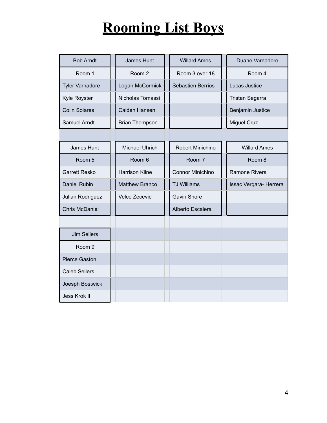# **Rooming List Boys**

| <b>Bob Arndt</b>       | James Hunt            | <b>Willard Ames</b>      | Duane Varnadore        |
|------------------------|-----------------------|--------------------------|------------------------|
| Room 1                 | Room 2                | Room 3 over 18           | Room 4                 |
| <b>Tyler Varnadore</b> | Logan McCormick       | <b>Sebastien Berrios</b> | Lucas Justice          |
| Kyle Royster           | Nicholas Tomassi      |                          | <b>Tristan Segarra</b> |
| <b>Colin Solares</b>   | Caiden Hansen         |                          | Benjamin Justice       |
| Samuel Arndt           | <b>Brian Thompson</b> |                          | <b>Miguel Cruz</b>     |
|                        |                       |                          |                        |
| James Hunt             | <b>Michael Uhrich</b> | Robert Minichino         | <b>Willard Ames</b>    |
| Room 5                 | Room 6                | Room 7                   | Room 8                 |
| <b>Garrett Resko</b>   | <b>Harrison Kline</b> | <b>Connor Minichino</b>  | <b>Ramone Rivers</b>   |
| <b>Daniel Rubin</b>    | <b>Matthew Branco</b> | <b>TJ Williams</b>       | Issac Vergara- Herrera |
| Julian Rodriguez       | Velco Zecevic         | <b>Gavin Shore</b>       |                        |
| <b>Chris McDaniel</b>  |                       | Alberto Escalera         |                        |
|                        |                       |                          |                        |
| <b>Jim Sellers</b>     |                       |                          |                        |
| Room <sub>9</sub>      |                       |                          |                        |
| Pierce Gaston          |                       |                          |                        |
| <b>Caleb Sellers</b>   |                       |                          |                        |
| Joesph Bostwick        |                       |                          |                        |
| Jess Krok II           |                       |                          |                        |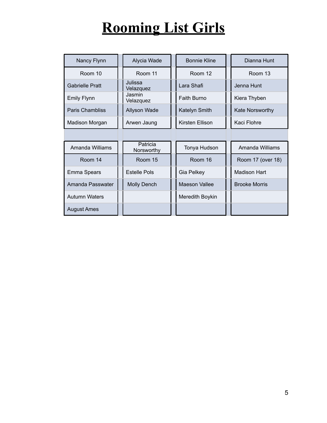# **Rooming List Girls**

| Nancy Flynn            | Alycia Wade            | <b>Bonnie Kline</b>  | Dianna Hunt          |  |
|------------------------|------------------------|----------------------|----------------------|--|
| Room 10                | Room 11                | Room 12              | Room 13              |  |
| <b>Gabrielle Pratt</b> | Julissa<br>Velazquez   | Lara Shafi           | Jenna Hunt           |  |
| <b>Emily Flynn</b>     | Jasmin<br>Velazquez    | <b>Faith Burno</b>   | Kiera Thyben         |  |
| <b>Paris Chambliss</b> | Allyson Wade           | Katelyn Smith        | Kate Norsworthy      |  |
| Madison Morgan         | Arwen Jaung            | Kirsten Ellison      | Kaci Flohre          |  |
|                        |                        |                      |                      |  |
| Amanda Williams        | Patricia<br>Norsworthy | Tonya Hudson         | Amanda Williams      |  |
| Room 14                | Room 15                | Room 16              | Room 17 (over 18)    |  |
| Emma Spears            | <b>Estelle Pols</b>    | Gia Pelkey           | <b>Madison Hart</b>  |  |
| Amanda Passwater       | <b>Molly Dench</b>     | <b>Maeson Vallee</b> | <b>Brooke Morris</b> |  |
| <b>Autumn Waters</b>   |                        | Meredith Boykin      |                      |  |
| <b>August Ames</b>     |                        |                      |                      |  |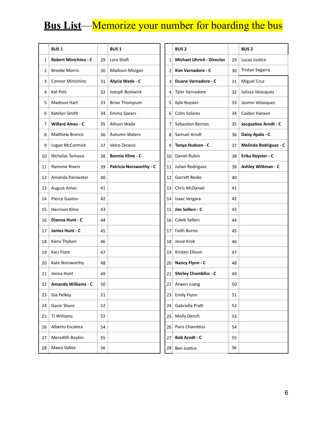### **Bus List**—Memorize your number for boarding the bus

|                | <b>BUS1</b>                 |    | <b>BUS1</b>                    |                | <b>BUS2</b>                      |    | <b>BUS2</b>           |
|----------------|-----------------------------|----|--------------------------------|----------------|----------------------------------|----|-----------------------|
| 1              | <b>Robert Minichino - C</b> | 29 | Lara Shafi                     | 1              | <b>Michael Uhrich - Director</b> | 29 | Lucas Justice         |
| $\overline{2}$ | <b>Brooke Morris</b>        | 30 | Madison Morgan                 | $\overline{2}$ | Kim Varnadore - C                | 30 | Tristan Segarra       |
| 3              | Connor Minichino            | 31 | Alycia Wade - C                | 3              | Duane Varnadore - C              | 31 | <b>Miguel Cruz</b>    |
| 4              | Kat Pols                    | 32 | Joesph Bostwick                | 4              | <b>Tyler Varnadore</b>           | 32 | Julissa Velasquez     |
| 5              | <b>Madison Hart</b>         | 33 | <b>Brian Thompson</b>          | 5              | Kyle Royster                     | 33 | Jasmin Velasquez      |
| 6              | Katelyn Smith               | 34 | Emma Spears                    | 6              | <b>Colin Solares</b>             | 34 | Caiden Hansen         |
| 7              | <b>Willard Ames - C</b>     | 35 | Allison Wade                   | 7              | Sebastien Berrios                | 35 | Jacqueline Arndt - C  |
| 8              | <b>Matthew Branco</b>       | 36 | <b>Autumn Waters</b>           | 8              | Samuel Arndt                     | 36 | Daisy Ayala - C       |
| 9              | Logan McCormick             | 37 | Velco Zecevic                  | 9              | Tonya Hudson - C                 | 37 | Melinda Rodriguez - C |
| 10             | Nicholas Tomassi            | 38 | <b>Bonnie Kline - C</b>        | 10             | Daniel Rubin                     | 38 | Erika Royster - C     |
| 11             | Ramone Rivers               | 39 | <b>Patricia Norsworthy - C</b> | 11             | Julian Rodriguez                 | 39 | Ashley Wittman - C    |
| 12             | Amanda Passwater            | 40 |                                | 12             | Garrett Resko                    | 40 |                       |
| 13             | <b>August Ames</b>          | 41 |                                | 13             | Chris McDaniel                   | 41 |                       |
| 14             | Pierce Gaston               | 42 |                                | 14             | Isaac Vergara                    | 42 |                       |
| 15             | <b>Harrison Kline</b>       | 43 |                                | 15             | Jim Sellers - C                  | 43 |                       |
| 16             | Dianna Hunt - C             | 44 |                                | 16             | <b>Caleb Sellers</b>             | 44 |                       |
| 17             | James Hunt - C              | 45 |                                | 17             | Faith Burno                      | 45 |                       |
| 18             | Kiera Thyben                | 46 |                                | 18             | Jesse Krok                       | 46 |                       |
| 19             | Kaci Flore                  | 47 |                                | 19             | Kirsten Ellison                  | 47 |                       |
| 20             | Kate Norsworthy             | 48 |                                | 20             | Nancy Flynn - C                  | 48 |                       |
| 21             | Jenna Hunt                  | 49 |                                | 21             | <b>Shirley Chambliss - C</b>     | 49 |                       |
| 22             | Amanda Williams - C         | 50 |                                | 22             | Arwen Juang                      | 50 |                       |
| 23             | Gia Pelkey                  | 51 |                                | 23             | <b>Emily Flynn</b>               | 51 |                       |
| 24             | Gavin Shore                 | 52 |                                | 24             | Gabriella Pratt                  | 52 |                       |
| 25             | TJ Williams                 | 53 |                                | 25             | Molly Dench                      | 53 |                       |
| 26             | Alberto Escalera            | 54 |                                | 26             | Paris Chambliss                  | 54 |                       |
| 27             | Meredith Boykin             | 55 |                                | 27             | <b>Bob Arndt - C</b>             | 55 |                       |
| 28             | Maesi Vallee                | 56 |                                | 28             | Ben Justice                      | 56 |                       |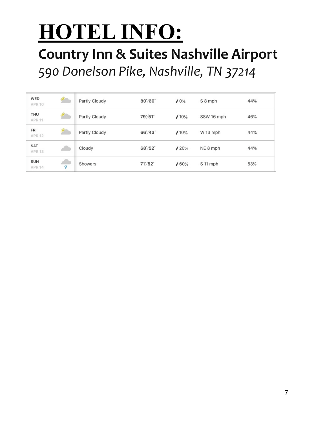# **HOTEL INFO:**

### **Country Inn & Suites Nashville Airport** 590 Donelson Pike, Nashville, TN 37214

| WED<br><b>APR 10</b>            | 鑑 | Partly Cloudy | $80^{\circ}/60^{\circ}$ | 10%  | S 8 mph    | 44% |
|---------------------------------|---|---------------|-------------------------|------|------------|-----|
| THU<br><b>APR 11</b>            | 鑑 | Partly Cloudy | 79°/51°                 | 10%  | SSW 16 mph | 46% |
| <b>FRI</b><br><b>APR 12</b>     | 鑑 | Partly Cloudy | $66^{\circ}/43^{\circ}$ | 10%  | W 13 mph   | 44% |
| <b>SAT</b><br>APR <sub>13</sub> |   | Cloudy        | $68^{\circ}/52^{\circ}$ | 120% | NE 8 mph   | 44% |
| SUN<br><b>APR 14</b>            | Ч | Showers       | $71^{\circ}/52^{\circ}$ | /60% | S 11 mph   | 53% |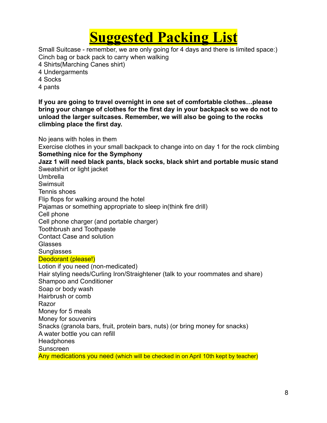### **Suggested Packing List**

Small Suitcase - remember, we are only going for 4 days and there is limited space:) Cinch bag or back pack to carry when walking

4 Shirts(Marching Canes shirt)

- 4 Undergarments
- 4 Socks
- 4 pants

**If you are going to travel overnight in one set of comfortable clothes…please bring your change of clothes for the first day in your backpack so we do not to unload the larger suitcases. Remember, we will also be going to the rocks climbing place the first day.** 

No jeans with holes in them Exercise clothes in your small backpack to change into on day 1 for the rock climbing **Something nice for the Symphony Jazz 1 will need black pants, black socks, black shirt and portable music stand**  Sweatshirt or light jacket Umbrella **Swimsuit** Tennis shoes Flip flops for walking around the hotel Pajamas or something appropriate to sleep in(think fire drill) Cell phone Cell phone charger (and portable charger) Toothbrush and Toothpaste Contact Case and solution Glasses **Sunglasses** Deodorant (please!) Lotion if you need (non-medicated) Hair styling needs/Curling Iron/Straightener (talk to your roommates and share) Shampoo and Conditioner Soap or body wash Hairbrush or comb Razor Money for 5 meals Money for souvenirs Snacks (granola bars, fruit, protein bars, nuts) (or bring money for snacks) A water bottle you can refill **Headphones** Sunscreen Any medications you need (which will be checked in on April 10th kept by teacher)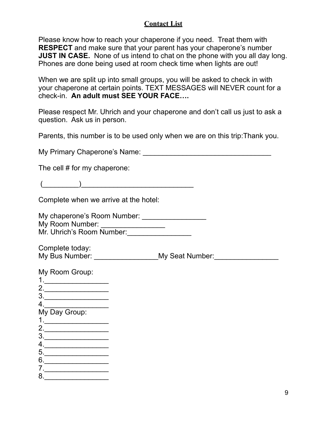### **Contact List**

Please know how to reach your chaperone if you need. Treat them with **RESPECT** and make sure that your parent has your chaperone's number **JUST IN CASE.** None of us intend to chat on the phone with you all day long. Phones are done being used at room check time when lights are out!

When we are split up into small groups, you will be asked to check in with your chaperone at certain points. TEXT MESSAGES will NEVER count for a check-in. **An adult must SEE YOUR FACE….** 

Please respect Mr. Uhrich and your chaperone and don't call us just to ask a question. Ask us in person.

Parents, this number is to be used only when we are on this trip:Thank you.

My Primary Chaperone's Name: \_\_\_\_\_\_\_\_\_\_\_\_\_\_\_\_\_\_\_\_\_\_\_\_\_\_\_\_\_\_\_\_

The cell # for my chaperone:

 $($   $)$ 

Complete when we arrive at the hotel:

My chaperone's Room Number: \_\_\_\_\_\_\_\_\_\_\_\_\_\_\_\_ My Room Number: Mr. Uhrich's Room Number:

Complete today: My Bus Number: \_\_\_\_\_\_\_\_\_\_\_\_\_\_\_\_\_\_\_My Seat Number: \_\_\_\_\_\_\_\_\_\_\_\_\_\_\_\_\_\_\_\_\_\_\_\_\_\_\_\_\_\_

| My Room Group:<br>1 |  |
|---------------------|--|
| 2.<br>3.            |  |
|                     |  |
| My Day Group:       |  |
| 2.<br>3.            |  |
| 4.                  |  |
| 5.<br>6.            |  |
|                     |  |
| 8.                  |  |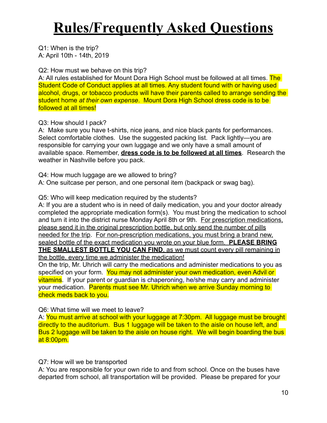## **Rules/Frequently Asked Questions**

Q1: When is the trip? A: April 10th - 14th, 2019

Q2: How must we behave on this trip?

A: All rules established for Mount Dora High School must be followed at all times. The Student Code of Conduct applies at all times. Any student found with or having used alcohol, drugs, or tobacco products will have their parents called to arrange sending the student home *at their own expense*. Mount Dora High School dress code is to be followed at all times!

Q3: How should I pack?

A: Make sure you have t-shirts, nice jeans, and nice black pants for performances. Select comfortable clothes. Use the suggested packing list. Pack lightly—you are responsible for carrying your own luggage and we only have a small amount of available space. Remember, **dress code is to be followed at all times**. Research the weather in Nashville before you pack.

Q4: How much luggage are we allowed to bring? A: One suitcase per person, and one personal item (backpack or swag bag).

### Q5: Who will keep medication required by the students?

A: If you are a student who is in need of daily medication, you and your doctor already completed the appropriate medication form(s). You must bring the medication to school and turn it into the district nurse Monday April 8th or 9th. For prescription medications, please send it in the original prescription bottle, but only send the number of pills needed for the trip. For non-prescription medications, you must bring a brand new, sealed bottle of the exact medication you wrote on your blue form. **PLEASE BRING THE SMALLEST BOTTLE YOU CAN FIND**, as we must count every pill remaining in the bottle, every time we administer the medication!

On the trip, Mr. Uhrich will carry the medications and administer medications to you as specified on your form. You may not administer your own medication, even Advil or vitamins. If your parent or guardian is chaperoning, he/she may carry and administer your medication. Parents must see Mr. Uhrich when we arrive Sunday morning to check meds back to you.

Q6: What time will we meet to leave?

A: You must arrive at school with your luggage at 7:30pm. All luggage must be brought directly to the auditorium. Bus 1 luggage will be taken to the aisle on house left, and Bus 2 luggage will be taken to the aisle on house right. We will begin boarding the bus at 8:00pm.

Q7: How will we be transported

A: You are responsible for your own ride to and from school. Once on the buses have departed from school, all transportation will be provided. Please be prepared for your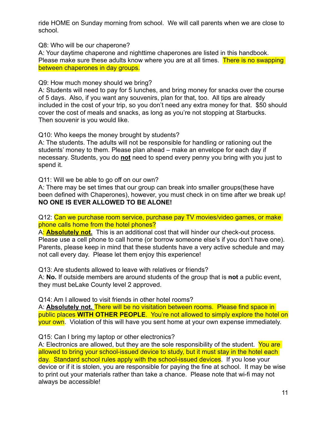ride HOME on Sunday morning from school. We will call parents when we are close to school.

Q8: Who will be our chaperone?

A: Your daytime chaperone and nighttime chaperones are listed in this handbook. Please make sure these adults know where you are at all times. There is no swapping between chaperones in day groups.

Q9: How much money should we bring?

A: Students will need to pay for 5 lunches, and bring money for snacks over the course of 5 days. Also, if you want any souvenirs, plan for that, too. All tips are already included in the cost of your trip, so you don't need any extra money for that. \$50 should cover the cost of meals and snacks, as long as you're not stopping at Starbucks. Then souvenir is you would like.

Q10: Who keeps the money brought by students?

A: The students. The adults will not be responsible for handling or rationing out the students' money to them. Please plan ahead – make an envelope for each day if necessary. Students, you do **not** need to spend every penny you bring with you just to spend it.

Q11: Will we be able to go off on our own?

A: There may be set times that our group can break into smaller groups(these have been defined with Chaperones), however, you must check in on time after we break up! **NO ONE IS EVER ALLOWED TO BE ALONE!** 

Q12: Can we purchase room service, purchase pay TV movies/video games, or make phone calls home from the hotel phones?

A: **Absolutely not.** This is an additional cost that will hinder our check-out process. Please use a cell phone to call home (or borrow someone else's if you don't have one). Parents, please keep in mind that these students have a very active schedule and may not call every day. Please let them enjoy this experience!

Q13: Are students allowed to leave with relatives or friends?

A: **No.** If outside members are around students of the group that is **not** a public event, they must beLake County level 2 approved.

Q14: Am I allowed to visit friends in other hotel rooms?

A: **Absolutely not.** There will be no visitation between rooms. Please find space in public places **WITH OTHER PEOPLE**. You're not allowed to simply explore the hotel on your own. Violation of this will have you sent home at your own expense immediately.

Q15: Can I bring my laptop or other electronics?

A: Electronics are allowed, but they are the sole responsibility of the student. You are allowed to bring your school-issued device to study, but it must stay in the hotel each day. Standard school rules apply with the school-issued devices. If you lose your device or if it is stolen, you are responsible for paying the fine at school. It may be wise to print out your materials rather than take a chance. Please note that wi-fi may not always be accessible!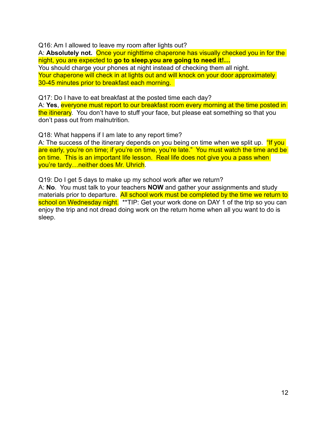Q16: Am I allowed to leave my room after lights out?

A: **Absolutely not.** Once your nighttime chaperone has visually checked you in for the night, you are expected to **go to sleep.you are going to need it!…** You should charge your phones at night instead of checking them all night. Your chaperone will check in at lights out and will knock on your door approximately 30-45 minutes prior to breakfast each morning.

Q17: Do I have to eat breakfast at the posted time each day?

A: **Yes**, everyone must report to our breakfast room every morning at the time posted in the itinerary. You don't have to stuff your face, but please eat something so that you don't pass out from malnutrition.

Q18: What happens if I am late to any report time?

A: The success of the itinerary depends on you being on time when we split up. "If you are early, you're on time; if you're on time, you're late." You must watch the time and be on time. This is an important life lesson. Real life does not give you a pass when you're tardy…neither does Mr. Uhrich.

Q19: Do I get 5 days to make up my school work after we return?

A: **No**. You must talk to your teachers **NOW** and gather your assignments and study materials prior to departure. All school work must be completed by the time we return to school on Wednesday night. \*\*TIP: Get your work done on DAY 1 of the trip so you can enjoy the trip and not dread doing work on the return home when all you want to do is sleep.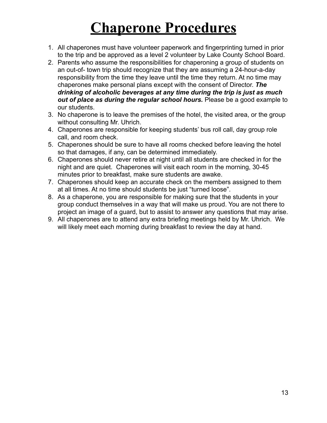## **Chaperone Procedures**

- 1. All chaperones must have volunteer paperwork and fingerprinting turned in prior to the trip and be approved as a level 2 volunteer by Lake County School Board.
- 2. Parents who assume the responsibilities for chaperoning a group of students on an out-of- town trip should recognize that they are assuming a 24-hour-a-day responsibility from the time they leave until the time they return. At no time may chaperones make personal plans except with the consent of Director. *The drinking of alcoholic beverages at any time during the trip is just as much out of place as during the regular school hours.* Please be a good example to our students.
- 3. No chaperone is to leave the premises of the hotel, the visited area, or the group without consulting Mr. Uhrich.
- 4. Chaperones are responsible for keeping students' bus roll call, day group role call, and room check.
- 5. Chaperones should be sure to have all rooms checked before leaving the hotel so that damages, if any, can be determined immediately.
- 6. Chaperones should never retire at night until all students are checked in for the night and are quiet. Chaperones will visit each room in the morning, 30-45 minutes prior to breakfast, make sure students are awake.
- 7. Chaperones should keep an accurate check on the members assigned to them at all times. At no time should students be just "turned loose".
- 8. As a chaperone, you are responsible for making sure that the students in your group conduct themselves in a way that will make us proud. You are not there to project an image of a guard, but to assist to answer any questions that may arise.
- 9. All chaperones are to attend any extra briefing meetings held by Mr. Uhrich. We will likely meet each morning during breakfast to review the day at hand.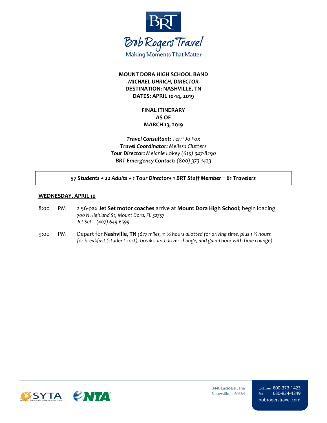

### **MOUNT DORA HIGH SCHOOL BAND** *MICHAEL UHRICH, DIRECTOR* **DESTINATION: NASHVILLE, TN DATES: APRIL 10-14, 2019**

### **FINAL ITINERARY AS OF MARCH 13, 2019**

*Travel Consultant: Terri Jo Fox Travel Coordinator: Melissa Clutters Tour Director: Melanie Lokey (615) 347-8290 BRT Emergency Contact: (800) 373-1423*

*57 Students + 22 Adults + 1 Tour Director+ 1 BRT Staff Member = 81 Travelers*

#### **WEDNESDAY, APRIL 10**

- 8:00 PM 2 56-pax **Jet Set motor coaches** arrive at **Mount Dora High School**; begin loading *700 N Highland St, Mount Dora, FL 32757 Jet Set – (407) 649-6599*
- 9:00 PM Depart for **Nashville, TN** *(677 miles, 11 ½ hours allotted for driving time, plus 1 ½ hours for breakfast (student cost), breaks, and driver change, and gain 1 hour with time change)*

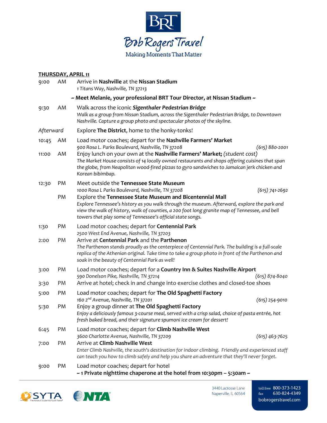

|             | <b>THURSDAY, APRIL 11</b> |                                                                                                                                                                                                                                                                                                                         |  |  |  |  |  |  |
|-------------|---------------------------|-------------------------------------------------------------------------------------------------------------------------------------------------------------------------------------------------------------------------------------------------------------------------------------------------------------------------|--|--|--|--|--|--|
| 9:00        | AM                        | Arrive in Nashville at the Nissan Stadium<br>1 Titans Way, Nashville, TN 37213                                                                                                                                                                                                                                          |  |  |  |  |  |  |
|             |                           | ~ Meet Melanie, your professional BRT Tour Director, at Nissan Stadium ~                                                                                                                                                                                                                                                |  |  |  |  |  |  |
| 9:30        | AM                        | Walk across the iconic Sigenthaler Pedestrian Bridge<br>Walk as a group from Nissan Stadium, across the Sigenthaler Pedestrian Bridge, to Downtown<br>Nashville. Capture a group photo and spectacular photos of the skyline.                                                                                           |  |  |  |  |  |  |
| Afterward   |                           | Explore The District, home to the honky-tonks!                                                                                                                                                                                                                                                                          |  |  |  |  |  |  |
| 10:45<br>AM |                           | Load motor coaches; depart for the Nashville Farmers' Market<br>900 Rosa L. Parks Boulevard, Nashville, TN 37208<br>$(615) 880 - 2001$                                                                                                                                                                                  |  |  |  |  |  |  |
| 11:00       | AM                        | Enjoy lunch on your own at the Nashville Farmers' Market; (student cost)<br>The Market House consists of 14 locally owned restaurants and shops offering cuisines that span<br>the globe, from Neapolitan wood-fired pizzas to gyro sandwiches to Jamaican jerk chicken and<br>Korean bibimbap.                         |  |  |  |  |  |  |
| 12:30       | PM                        | Meet outside the Tennessee State Museum<br>1000 Rosa L Parks Boulevard, Nashville, TN 37208<br>$(615)$ 741-2692                                                                                                                                                                                                         |  |  |  |  |  |  |
|             | PM                        | Explore the Tennessee State Museum and Bicentennial Mall<br>Explore Tennessee's history as you walk through the museum. Afterward, explore the park and<br>view the walk of history, walk of counties, a 200 foot long granite map of Tennessee, and bell<br>towers that play some of Tennessee's official state songs. |  |  |  |  |  |  |
| 1:30        | PM                        | Load motor coaches; depart for Centennial Park<br>2500 West End Avenue, Nashville, TN 37203                                                                                                                                                                                                                             |  |  |  |  |  |  |
| 2:00        | PM                        | Arrive at Centennial Park and the Parthenon<br>The Parthenon stands proudly as the centerpiece of Centennial Park. The building is a full-scale<br>replica of the Athenian original. Take time to take a group photo in front of the Parthenon and<br>soak in the beauty of Centennial Park as well!                    |  |  |  |  |  |  |
| 3:00        | PM                        | Load motor coaches; depart for a Country Inn & Suites Nashville Airport                                                                                                                                                                                                                                                 |  |  |  |  |  |  |
| 3:30        | PM                        | 590 Donelson Pike, Nashville, TN 37214<br>$(615) 874 - 8040$<br>Arrive at hotel; check in and change into exercise clothes and closed-toe shoes                                                                                                                                                                         |  |  |  |  |  |  |
| 5:00        | PM                        | Load motor coaches; depart for The Old Spaghetti Factory<br>160 2nd Avenue, Nashville, TN 37201<br>(615) 254-9010                                                                                                                                                                                                       |  |  |  |  |  |  |
| 5:30        | PM                        | Enjoy a group dinner at The Old Spaghetti Factory<br>Enjoy a deliciously famous 3-course meal, served with a crisp salad, choice of pasta entrée, hot<br>fresh baked bread, and their signature spumoni ice cream for dessert!                                                                                          |  |  |  |  |  |  |
| 6:45        | PM                        | Load motor coaches; depart for Climb Nashville West<br>3600 Charlotte Avenue, Nashville, TN 37209<br>$(615)$ 463-7625                                                                                                                                                                                                   |  |  |  |  |  |  |
| 7:00        | PM                        | Arrive at Climb Nashville West<br>Enter Climb Nashville, the south's destination for indoor climbing. Friendly and experienced staff<br>can teach you how to climb safely and help you share an adventure that they'll never forget.                                                                                    |  |  |  |  |  |  |
| 9:00        | PM                        | Load motor coaches; depart for hotel<br>$\sim$ 1 Private nighttime chaperone at the hotel from 10:30pm - 5:30am $\sim$                                                                                                                                                                                                  |  |  |  |  |  |  |



3440 Lacrosse Lane Naperville, IL 60564 toll free 800-373-1423 fax 630-824-4349 bobrogerstravel.com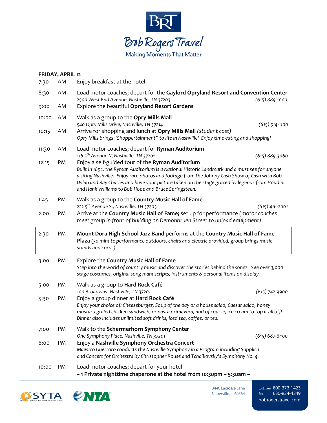

| <b>FRIDAY, APRIL 12</b> |    |                                                                                                                                                                                                                                                                                                                                                                                                            |                    |  |  |  |
|-------------------------|----|------------------------------------------------------------------------------------------------------------------------------------------------------------------------------------------------------------------------------------------------------------------------------------------------------------------------------------------------------------------------------------------------------------|--------------------|--|--|--|
| 7:30                    | AM | Enjoy breakfast at the hotel                                                                                                                                                                                                                                                                                                                                                                               |                    |  |  |  |
| 8:30                    | AM | Load motor coaches; depart for the Gaylord Opryland Resort and Convention Center<br>2500 West End Avenue, Nashville, TN 37203                                                                                                                                                                                                                                                                              | (615) 889-1000     |  |  |  |
| 9:00                    | AM | Explore the beautiful Opryland Resort Gardens                                                                                                                                                                                                                                                                                                                                                              |                    |  |  |  |
| 10:00                   | AM | Walk as a group to the Opry Mills Mall<br>540 Opry Mills Drive, Nashville, TN 37214                                                                                                                                                                                                                                                                                                                        | $(615)$ 514-1100   |  |  |  |
| 10:15                   | AM | Arrive for shopping and lunch at Opry Mills Mall (student cost)<br>Opry Mills brings "Shoppertainment" to life in Nashville! Enjoy time eating and shopping!                                                                                                                                                                                                                                               |                    |  |  |  |
| 11:30                   | AM | Load motor coaches; depart for Ryman Auditorium<br>116 5 <sup>th</sup> Avenue N, Nashville, TN 37201                                                                                                                                                                                                                                                                                                       | $(615) 889 - 3060$ |  |  |  |
| 12:15                   | PM | Enjoy a self-guided tour of the Ryman Auditorium<br>Built in 1892, the Ryman Auditorium is a National Historic Landmark and a must see for anyone<br>visiting Nashville. Enjoy rare photos and footage from the Johnny Cash Show of Cash with Bob<br>Dylan and Ray Charles and have your picture taken on the stage graced by legends from Houdini<br>and Hank Williams to Bob Hope and Bruce Springsteen. |                    |  |  |  |
| 1:45                    | PM | Walk as a group to the Country Music Hall of Fame<br>222 5 <sup>th</sup> Avenue S., Nashville, TN 37203                                                                                                                                                                                                                                                                                                    |                    |  |  |  |
| 2:00                    | PM | Arrive at the Country Music Hall of Fame; set up for performance (motor coaches<br>meet group in front of building on Demonbruen Street to unload equipment)                                                                                                                                                                                                                                               | $(615)$ 416-2001   |  |  |  |
| 2:30                    | PM | Mount Dora High School Jazz Band performs at the Country Music Hall of Fame<br>Plaza (30 minute performance outdoors, chairs and electric provided, group brings music<br>stands and cords)                                                                                                                                                                                                                |                    |  |  |  |
| 3:00                    | PM | Explore the Country Music Hall of Fame<br>Step into the world of country music and discover the stories behind the songs. See over 3,000<br>stage costumes, original song manuscripts, instruments & personal items on display.                                                                                                                                                                            |                    |  |  |  |
| 5:00                    | PM | Walk as a group to <b>Hard Rock Café</b><br>100 Broadway, Nashville, TN 37201                                                                                                                                                                                                                                                                                                                              | $(615)$ 742-9900   |  |  |  |
| 5:30                    | PM | Enjoy a group dinner at Hard Rock Café<br>Enjoy your choice of: Cheeseburger, Soup of the day or a house salad, Caesar salad, honey<br>mustard grilled chicken sandwich, or pasta primavera, and of course, ice cream to top it all off!<br>Dinner also includes unlimited soft drinks, iced tea, coffee, or tea.                                                                                          |                    |  |  |  |
| 7:00                    | PM | Walk to the Schermerhorn Symphony Center<br>One Symphony Place, Nashville, TN 37201                                                                                                                                                                                                                                                                                                                        | $(615) 687 - 6400$ |  |  |  |
| 8:00                    | PM | Enjoy a Nashville Symphony Orchestra Concert<br>Maestro Guerroro conducts the Nashville Symphony in a Program including Supplica<br>and Concert for Orchestra by Christopher Rouse and Tchaikovsky's Symphony No. 4.                                                                                                                                                                                       |                    |  |  |  |
|                         |    |                                                                                                                                                                                                                                                                                                                                                                                                            |                    |  |  |  |



3440 Lacrosse Lane Naperville, IL 60564

toll free 800-373-1423 fax 630-824-4349 bobrogerstravel.com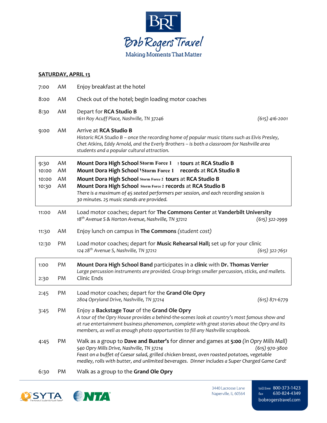

#### **SATURDAY, APRIL 13**

| 7:00                            | AM                   | Enjoy breakfast at the hotel                                                                                                                                                                                                                                                                                                                                                                      |  |
|---------------------------------|----------------------|---------------------------------------------------------------------------------------------------------------------------------------------------------------------------------------------------------------------------------------------------------------------------------------------------------------------------------------------------------------------------------------------------|--|
| 8:00                            | AM                   | Check out of the hotel; begin loading motor coaches                                                                                                                                                                                                                                                                                                                                               |  |
| 8:30                            | AM                   | Depart for RCA Studio B<br>1611 Roy Acuff Place, Nashville, TN 37246<br>$(615)$ 416-2001                                                                                                                                                                                                                                                                                                          |  |
| 9:00                            | AM                   | Arrive at RCA Studio B<br>Historic RCA Studio B - once the recording home of popular music titans such as Elvis Presley,<br>Chet Atkins, Eddy Arnold, and the Everly Brothers - is both a classroom for Nashville area<br>students and a popular cultural attraction.                                                                                                                             |  |
| 9:30<br>10:00<br>10:00<br>10:30 | AM<br>AM<br>AM<br>AM | Mount Dora High School Storm Force 1 : tours at RCA Studio B<br>Mount Dora High School 'Storm Force 1 records at RCA Studio B<br>Mount Dora High School Storm Force 2 tours at RCA Studio B<br>Mount Dora High School Storm Force 2 records at RCA Studio B<br>There is a maximum of 45 seated performers per session, and each recording session is<br>30 minutes. 25 music stands are provided. |  |
| 11:00                           | AM                   | Load motor coaches; depart for The Commons Center at Vanderbilt University<br>18 <sup>th</sup> Avenue S & Horton Avenue, Nashville, TN 37212<br>$(615)$ 322-2999                                                                                                                                                                                                                                  |  |
| 11:30                           | AM                   | Enjoy lunch on campus in The Commons (student cost)                                                                                                                                                                                                                                                                                                                                               |  |
| 12:30                           | PM                   | Load motor coaches; depart for Music Rehearsal Hall; set up for your clinic<br>124 28 <sup>th</sup> Avenue S, Nashville, TN 37212<br>$(615)$ 322-7651                                                                                                                                                                                                                                             |  |
| 1:00<br>2:30                    | PM<br>PM             | Mount Dora High School Band participates in a clinic with Dr. Thomas Verrier<br>Large percussion instruments are provided. Group brings smaller percussion, sticks, and mallets.<br>Clinic Ends                                                                                                                                                                                                   |  |
| 2:45                            | PM                   | Load motor coaches; depart for the Grand Ole Opry<br>2804 Opryland Drive, Nashville, TN 37214<br>$(615)$ 871-6779                                                                                                                                                                                                                                                                                 |  |
| 3:45                            | PM                   | Enjoy a Backstage Tour of the Grand Ole Opry<br>A tour of the Opry House provides a behind-the-scenes look at country's most famous show and<br>at rue entertainment business phenomenon, complete with great stories about the Opry and its<br>members, as well as enough photo opportunities to fill any Nashville scrapbook.                                                                   |  |
| 4:45                            | PM                   | Walk as a group to Dave and Buster's for dinner and games at 5:00 (in Opry Mills Mall)<br>540 Opry Mills Drive, Nashville, TN 37214<br>$(615)$ 970-3800<br>Feast on a buffet of Caesar salad, grilled chicken breast, oven roasted potatoes, vegetable<br>medley, rolls with butter, and unlimited beverages. Dinner includes a Super Charged Game Card!                                          |  |
| 6:30                            | PM                   | Walk as a group to the Grand Ole Opry                                                                                                                                                                                                                                                                                                                                                             |  |



3440 Lacrosse Lane Naperville, IL 60564 toll free 800-373-1423 fax 630-824-4349 bobrogerstravel.com